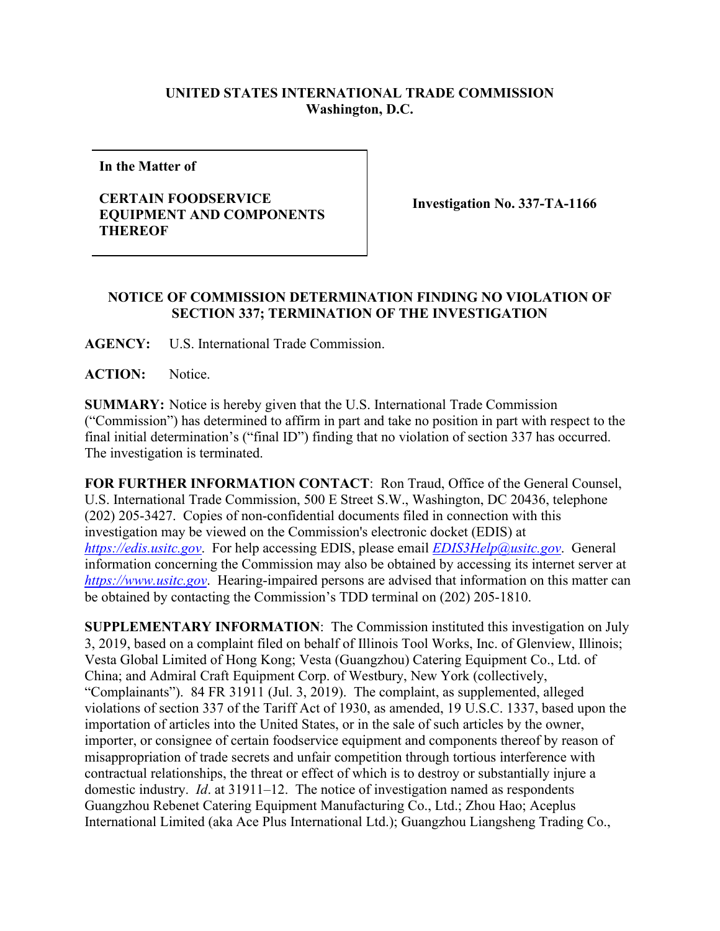## **UNITED STATES INTERNATIONAL TRADE COMMISSION Washington, D.C.**

**In the Matter of**

## **CERTAIN FOODSERVICE EQUIPMENT AND COMPONENTS THEREOF**

**Investigation No. 337-TA-1166**

## **NOTICE OF COMMISSION DETERMINATION FINDING NO VIOLATION OF SECTION 337; TERMINATION OF THE INVESTIGATION**

**AGENCY:** U.S. International Trade Commission.

ACTION: Notice.

**SUMMARY:** Notice is hereby given that the U.S. International Trade Commission ("Commission") has determined to affirm in part and take no position in part with respect to the final initial determination's ("final ID") finding that no violation of section 337 has occurred. The investigation is terminated.

**FOR FURTHER INFORMATION CONTACT**: Ron Traud, Office of the General Counsel, U.S. International Trade Commission, 500 E Street S.W., Washington, DC 20436, telephone (202) 205-3427. Copies of non-confidential documents filed in connection with this investigation may be viewed on the Commission's electronic docket (EDIS) at *[https://edis.usitc.gov](https://edis.usitc.gov/)*. For help accessing EDIS, please email *EDIS3Help@usitc.gov*. General information concerning the Commission may also be obtained by accessing its internet server at *[https://www.usitc.gov](https://www.usitc.gov/)*. Hearing-impaired persons are advised that information on this matter can be obtained by contacting the Commission's TDD terminal on (202) 205-1810.

**SUPPLEMENTARY INFORMATION**: The Commission instituted this investigation on July 3, 2019, based on a complaint filed on behalf of Illinois Tool Works, Inc. of Glenview, Illinois; Vesta Global Limited of Hong Kong; Vesta (Guangzhou) Catering Equipment Co., Ltd. of China; and Admiral Craft Equipment Corp. of Westbury, New York (collectively, "Complainants"). 84 FR 31911 (Jul. 3, 2019). The complaint, as supplemented, alleged violations of section 337 of the Tariff Act of 1930, as amended, 19 U.S.C. 1337, based upon the importation of articles into the United States, or in the sale of such articles by the owner, importer, or consignee of certain foodservice equipment and components thereof by reason of misappropriation of trade secrets and unfair competition through tortious interference with contractual relationships, the threat or effect of which is to destroy or substantially injure a domestic industry. *Id*. at 31911–12. The notice of investigation named as respondents Guangzhou Rebenet Catering Equipment Manufacturing Co., Ltd.; Zhou Hao; Aceplus International Limited (aka Ace Plus International Ltd.); Guangzhou Liangsheng Trading Co.,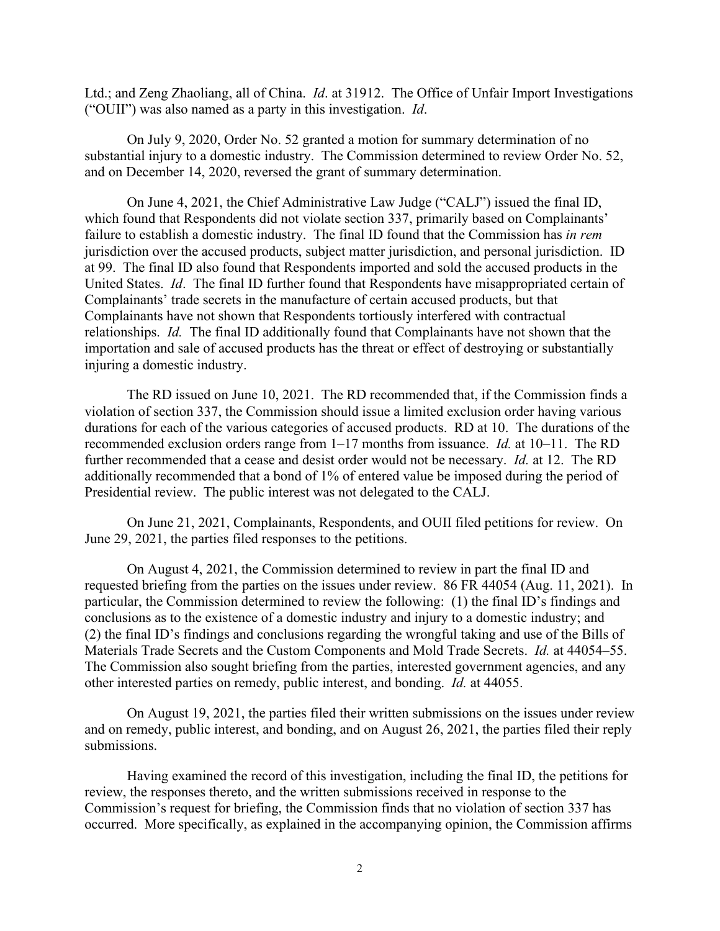Ltd.; and Zeng Zhaoliang, all of China. *Id*. at 31912. The Office of Unfair Import Investigations ("OUII") was also named as a party in this investigation. *Id*.

On July 9, 2020, Order No. 52 granted a motion for summary determination of no substantial injury to a domestic industry. The Commission determined to review Order No. 52, and on December 14, 2020, reversed the grant of summary determination.

On June 4, 2021, the Chief Administrative Law Judge ("CALJ") issued the final ID, which found that Respondents did not violate section 337, primarily based on Complainants' failure to establish a domestic industry. The final ID found that the Commission has *in rem* jurisdiction over the accused products, subject matter jurisdiction, and personal jurisdiction. ID at 99. The final ID also found that Respondents imported and sold the accused products in the United States. *Id*. The final ID further found that Respondents have misappropriated certain of Complainants' trade secrets in the manufacture of certain accused products, but that Complainants have not shown that Respondents tortiously interfered with contractual relationships. *Id.* The final ID additionally found that Complainants have not shown that the importation and sale of accused products has the threat or effect of destroying or substantially injuring a domestic industry.

The RD issued on June 10, 2021. The RD recommended that, if the Commission finds a violation of section 337, the Commission should issue a limited exclusion order having various durations for each of the various categories of accused products. RD at 10. The durations of the recommended exclusion orders range from 1–17 months from issuance. *Id.* at 10–11. The RD further recommended that a cease and desist order would not be necessary. *Id.* at 12. The RD additionally recommended that a bond of 1% of entered value be imposed during the period of Presidential review. The public interest was not delegated to the CALJ.

On June 21, 2021, Complainants, Respondents, and OUII filed petitions for review. On June 29, 2021, the parties filed responses to the petitions.

On August 4, 2021, the Commission determined to review in part the final ID and requested briefing from the parties on the issues under review. 86 FR 44054 (Aug. 11, 2021). In particular, the Commission determined to review the following: (1) the final ID's findings and conclusions as to the existence of a domestic industry and injury to a domestic industry; and (2) the final ID's findings and conclusions regarding the wrongful taking and use of the Bills of Materials Trade Secrets and the Custom Components and Mold Trade Secrets. *Id.* at 44054–55. The Commission also sought briefing from the parties, interested government agencies, and any other interested parties on remedy, public interest, and bonding. *Id.* at 44055.

On August 19, 2021, the parties filed their written submissions on the issues under review and on remedy, public interest, and bonding, and on August 26, 2021, the parties filed their reply submissions.

Having examined the record of this investigation, including the final ID, the petitions for review, the responses thereto, and the written submissions received in response to the Commission's request for briefing, the Commission finds that no violation of section 337 has occurred. More specifically, as explained in the accompanying opinion, the Commission affirms